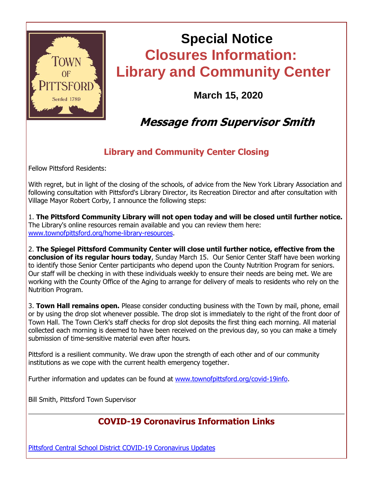

# **Special Notice Closures Information: Library and Community Center**

**March 15, 2020**

### **Message from Supervisor Smith**

#### **Library and Community Center Closing**

Fellow Pittsford Residents:

With regret, but in light of the closing of the schools, of advice from the New York Library Association and following consultation with Pittsford's Library Director, its Recreation Director and after consultation with Village Mayor Robert Corby, I announce the following steps:

1. **The Pittsford Community Library will not open today and will be closed until further notice.** The Library's online resources remain available and you can review them here: [www.townofpittsford.org/home-library-resources.](http://r20.rs6.net/tn.jsp?f=001iYhwgdTcXX9M5z0hzsF5nWRbWu2N9JOTWyLns1GMZn1JNjKO6BLJ9BYr_47YYARpb10CUuFTlA1fzW9QfmpgaOILx1qdYnJ_yRUih1DNrhGn_-N8ftPlK-WkjJuJ2lOwKGGUqn7XjbiNiMGqd1vsjuu-bE0ChnKzo4nRnhABEAvs70BDBgltt4L2ASbRjAAq-Qq2v9NZqcjdrDiFCSUorpQRTiGJ95-QVZ3rNI77SeWybxEAlPM28B9y1D7bUP389mV_tpJ6Np27JhfKhrfFAegRyhCN8DGfdkIQjl03TaO4NPf8j4x7oOr75Yqhi3beiBBCVdM6VmMhSj6SXkk6_IrkM06YPvOcjfUu0NKvnTLGAhAf79G_-TgqGz0oM72N5___Mp6abicPd9Icar4IfF_VUuQR920iVrWZT6L9QyDfoM7CWTygUz8IqmB1estoeGk9ftm1e6QbnjaE6xEVCU0aRixgpupiJ78Prqje_saY1rFfeJMtzWruWFMGUxLU_jaX04kQXJwFrrwtCHoLzw==&c=s_vGhFT1m0eYxo64UXNNU__p5XHrQ04ZfCYEchBczPdI2HmU0ztooA==&ch=26EkTy2Z1cDrT1-J1CF-bCMeNDXWaE67ddidH3-SU0smrIgXoM6DEg==)

2. **The Spiegel Pittsford Community Center will close until further notice, effective from the conclusion of its regular hours today**, Sunday March 15. Our Senior Center Staff have been working to identify those Senior Center participants who depend upon the County Nutrition Program for seniors. Our staff will be checking in with these individuals weekly to ensure their needs are being met. We are working with the County Office of the Aging to arrange for delivery of meals to residents who rely on the Nutrition Program.

3. **Town Hall remains open.** Please consider conducting business with the Town by mail, phone, email or by using the drop slot whenever possible. The drop slot is immediately to the right of the front door of Town Hall. The Town Clerk's staff checks for drop slot deposits the first thing each morning. All material collected each morning is deemed to have been received on the previous day, so you can make a timely submission of time-sensitive material even after hours.

Pittsford is a resilient community. We draw upon the strength of each other and of our community institutions as we cope with the current health emergency together.

Further information and updates can be found at [www.townofpittsford.org/covid-19info.](http://r20.rs6.net/tn.jsp?f=001iYhwgdTcXX9M5z0hzsF5nWRbWu2N9JOTWyLns1GMZn1JNjKO6BLJ9IkpOVgJU4Zs7oC1qhtG-_4gwCpxE731-A0KmIET5bUsUgIJa_iqyqm0zCE9M7FFk2ZAgoHz6CFF6mH02padeRIYkef8_oBLCX-RBrr7xKVxUwV1gNopdoyMHZLnWETSEisK2jG4Rif67s0km6DkLz6G0mJEmAYNIVDQ6ouidHGS5slX1nD_d7dRABNAUXR_QCrvtHCDmkUvtTLr8_upfrUtxhquoZ3O1SiY_6Rur7KusfmhTrKzu2h_L5KMaAlrNt74OrIEKJPAIQqsLM76GstdPfoCNS6zRsRTP7oS3wzmAbv6sPAFDG7luMVWD5Nl1CmtwlqbmlTbR7SvFt2_LjiL3WE40b3rc9qEV9w0OD2kUUJL_wZ17cboOZ205U1hWn_Rk8OYbr5j7-pWh21TlEPOcy7NBZfQcuJF_OGQhRNgdZes53TY9UcDxZriR_q10of8cYkSiLVe&c=s_vGhFT1m0eYxo64UXNNU__p5XHrQ04ZfCYEchBczPdI2HmU0ztooA==&ch=26EkTy2Z1cDrT1-J1CF-bCMeNDXWaE67ddidH3-SU0smrIgXoM6DEg==)

Bill Smith, Pittsford Town Supervisor

#### **COVID-19 Coronavirus Information Links**

[Pittsford Central School District COVID-19 Coronavirus Updates](http://r20.rs6.net/tn.jsp?f=001iYhwgdTcXX9M5z0hzsF5nWRbWu2N9JOTWyLns1GMZn1JNjKO6BLJ9IkpOVgJU4ZsVf8zXL35DxBT69O7KPmbcffrn8vKNMM1n6ldhL53CmwX8BpRJEftUyRt6_K4Uoh433-IejygHR6BweEk7wmjyDJStiIZueGFBxevaz5LTxTiohkvJFcTGX0LfsRe6qgbFLOX_S2LxHb0kjf-8_BipJyL6nNzr-rxZtNW6ZTYaIFubH_0E0sfydge2Us2JSvQ7FzFPMfUvgrhV0Z-BxJ-0S2W-CjBcMa0fiYKJw4ttSTHAbaIUeS8vP88ZbhJz3d1ZIBge0NzN4Fxh3izBQYXg3_CH2K2BCDdg_FLV9nAkJoPkFerELXnX5M5GL50o-xFQUd2pADQdFnR_Eq1fhcVsjfQ11b27rrKsQTdz8Q-94YpVhBIrHf_hB4qaT4snxe8crrvv_9573Epop9BjID84L3dsN4EW-x9oGqGKgbfg7hj12mmsaJd8bWmdercRGZCZbChLDOb1J4=&c=s_vGhFT1m0eYxo64UXNNU__p5XHrQ04ZfCYEchBczPdI2HmU0ztooA==&ch=26EkTy2Z1cDrT1-J1CF-bCMeNDXWaE67ddidH3-SU0smrIgXoM6DEg==)